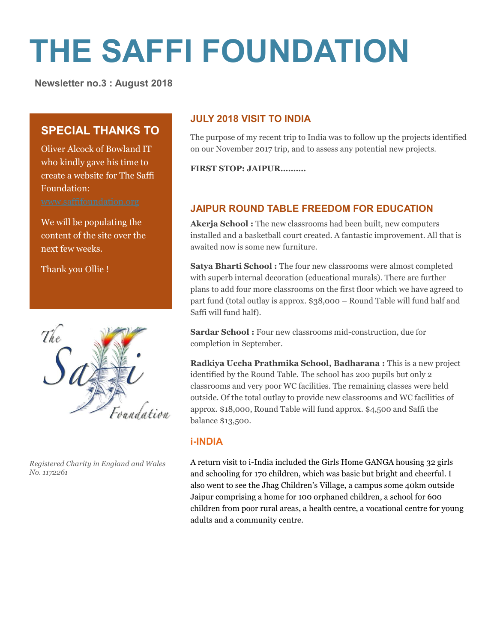# **THE SAFFI FOUNDATION**

 **Newsletter no.3 : August 2018**

# **SPECIAL THANKS TO**

Oliver Alcock of Bowland IT who kindly gave his time to create a website for The Saffi Foundation:

We will be populating the content of the site over the next few weeks.

Thank you Ollie !



*Registered Charity in England and Wales No. 1172261*

## **JULY 2018 VISIT TO INDIA**

The purpose of my recent trip to India was to follow up the projects identified on our November 2017 trip, and to assess any potential new projects.

**FIRST STOP: JAIPUR……….**

# **JAIPUR ROUND TABLE FREEDOM FOR EDUCATION**

**Akerja School :** The new classrooms had been built, new computers installed and a basketball court created. A fantastic improvement. All that is awaited now is some new furniture.

Satya Bharti School: The four new classrooms were almost completed with superb internal decoration (educational murals). There are further plans to add four more classrooms on the first floor which we have agreed to part fund (total outlay is approx. \$38,000 – Round Table will fund half and Saffi will fund half).

Sardar School : Four new classrooms mid-construction, due for completion in September.

**Radkiya Uccha Prathmika School, Badharana :** This is a new project identified by the Round Table. The school has 200 pupils but only 2 classrooms and very poor WC facilities. The remaining classes were held outside. Of the total outlay to provide new classrooms and WC facilities of approx. \$18,000, Round Table will fund approx. \$4,500 and Saffi the balance \$13,500.

## **i-INDIA**

A return visit to i-India included the Girls Home GANGA housing 32 girls and schooling for 170 children, which was basic but bright and cheerful. I also went to see the Jhag Children's Village, a campus some 40km outside Jaipur comprising a home for 100 orphaned children, a school for 600 children from poor rural areas, a health centre, a vocational centre for young adults and a community centre.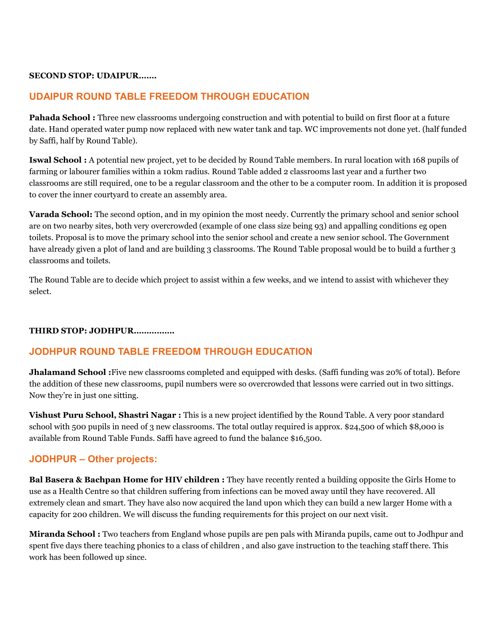#### **SECOND STOP: UDAIPUR…….**

### **UDAIPUR ROUND TABLE FREEDOM THROUGH EDUCATION**

**Pahada School :** Three new classrooms undergoing construction and with potential to build on first floor at a future date. Hand operated water pump now replaced with new water tank and tap. WC improvements not done yet. (half funded by Saffi, half by Round Table).

**Iswal School :** A potential new project, yet to be decided by Round Table members. In rural location with 168 pupils of farming or labourer families within a 10km radius. Round Table added 2 classrooms last year and a further two classrooms are still required, one to be a regular classroom and the other to be a computer room. In addition it is proposed to cover the inner courtyard to create an assembly area.

**Varada School:** The second option, and in my opinion the most needy. Currently the primary school and senior school are on two nearby sites, both very overcrowded (example of one class size being 93) and appalling conditions eg open toilets. Proposal is to move the primary school into the senior school and create a new senior school. The Government have already given a plot of land and are building 3 classrooms. The Round Table proposal would be to build a further 3 classrooms and toilets.

The Round Table are to decide which project to assist within a few weeks, and we intend to assist with whichever they select.

#### **THIRD STOP: JODHPUR…………….**

#### **JODHPUR ROUND TABLE FREEDOM THROUGH EDUCATION**

**Jhalamand School :**Five new classrooms completed and equipped with desks. (Saffi funding was 20% of total). Before the addition of these new classrooms, pupil numbers were so overcrowded that lessons were carried out in two sittings. Now they're in just one sitting.

**Vishust Puru School, Shastri Nagar :** This is a new project identified by the Round Table. A very poor standard school with 500 pupils in need of 3 new classrooms. The total outlay required is approx. \$24,500 of which \$8,000 is available from Round Table Funds. Saffi have agreed to fund the balance \$16,500.

#### **JODHPUR – Other projects:**

**Bal Basera & Bachpan Home for HIV children :** They have recently rented a building opposite the Girls Home to use as a Health Centre so that children suffering from infections can be moved away until they have recovered. All extremely clean and smart. They have also now acquired the land upon which they can build a new larger Home with a capacity for 200 children. We will discuss the funding requirements for this project on our next visit.

**Miranda School :** Two teachers from England whose pupils are pen pals with Miranda pupils, came out to Jodhpur and spent five days there teaching phonics to a class of children , and also gave instruction to the teaching staff there. This work has been followed up since.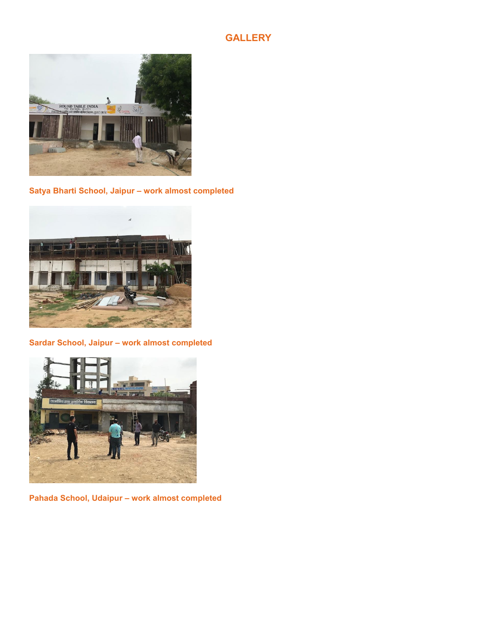## **GALLERY**



**Satya Bharti School, Jaipur – work almost completed**



**Sardar School, Jaipur – work almost completed**



**Pahada School, Udaipur – work almost completed**